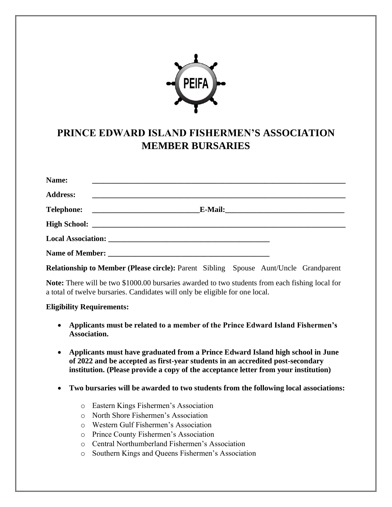

## **PRINCE EDWARD ISLAND FISHERMEN'S ASSOCIATION MEMBER BURSARIES**

| Name:<br><u> 1989 - Johann Harry Harry Harry Harry Harry Harry Harry Harry Harry Harry Harry Harry Harry Harry Harry Harry</u> |                                                                                                                       |  |
|--------------------------------------------------------------------------------------------------------------------------------|-----------------------------------------------------------------------------------------------------------------------|--|
| <b>Address:</b>                                                                                                                | <u> 1989 - Johann Stoff, deutscher Stoff, der Stoff, der Stoff, der Stoff, der Stoff, der Stoff, der Stoff, der S</u> |  |
|                                                                                                                                |                                                                                                                       |  |
|                                                                                                                                |                                                                                                                       |  |
|                                                                                                                                |                                                                                                                       |  |
|                                                                                                                                |                                                                                                                       |  |
|                                                                                                                                |                                                                                                                       |  |

**Relationship to Member (Please circle):** Parent Sibling Spouse Aunt/Uncle Grandparent

**Note:** There will be two \$1000.00 bursaries awarded to two students from each fishing local for a total of twelve bursaries. Candidates will only be eligible for one local.

## **Eligibility Requirements:**

- **Applicants must be related to a member of the Prince Edward Island Fishermen's Association.**
- **Applicants must have graduated from a Prince Edward Island high school in June of 2022 and be accepted as first-year students in an accredited post-secondary institution. (Please provide a copy of the acceptance letter from your institution)**
- **Two bursaries will be awarded to two students from the following local associations:**
	- o Eastern Kings Fishermen's Association
	- o North Shore Fishermen's Association
	- o Western Gulf Fishermen's Association
	- o Prince County Fishermen's Association
	- o Central Northumberland Fishermen's Association
	- o Southern Kings and Queens Fishermen's Association